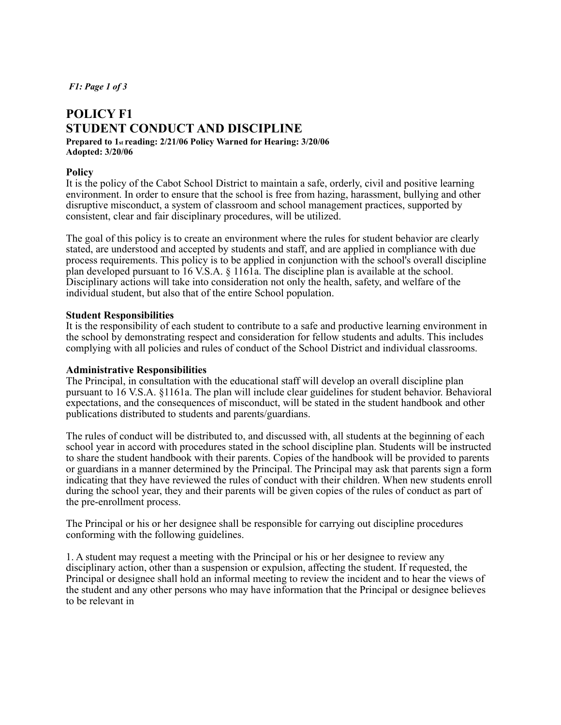*F1: Page 1 of 3* 

# **POLICY F1 STUDENT CONDUCT AND DISCIPLINE**

#### **Prepared to 1st reading: 2/21/06 Policy Warned for Hearing: 3/20/06 Adopted: 3/20/06**

## **Policy**

It is the policy of the Cabot School District to maintain a safe, orderly, civil and positive learning environment. In order to ensure that the school is free from hazing, harassment, bullying and other disruptive misconduct, a system of classroom and school management practices, supported by consistent, clear and fair disciplinary procedures, will be utilized.

The goal of this policy is to create an environment where the rules for student behavior are clearly stated, are understood and accepted by students and staff, and are applied in compliance with due process requirements. This policy is to be applied in conjunction with the school's overall discipline plan developed pursuant to 16 V.S.A. § 1161a. The discipline plan is available at the school. Disciplinary actions will take into consideration not only the health, safety, and welfare of the individual student, but also that of the entire School population.

## **Student Responsibilities**

It is the responsibility of each student to contribute to a safe and productive learning environment in the school by demonstrating respect and consideration for fellow students and adults. This includes complying with all policies and rules of conduct of the School District and individual classrooms.

#### **Administrative Responsibilities**

The Principal, in consultation with the educational staff will develop an overall discipline plan pursuant to 16 V.S.A. §1161a. The plan will include clear guidelines for student behavior. Behavioral expectations, and the consequences of misconduct, will be stated in the student handbook and other publications distributed to students and parents/guardians.

The rules of conduct will be distributed to, and discussed with, all students at the beginning of each school year in accord with procedures stated in the school discipline plan. Students will be instructed to share the student handbook with their parents. Copies of the handbook will be provided to parents or guardians in a manner determined by the Principal. The Principal may ask that parents sign a form indicating that they have reviewed the rules of conduct with their children. When new students enroll during the school year, they and their parents will be given copies of the rules of conduct as part of the pre-enrollment process.

The Principal or his or her designee shall be responsible for carrying out discipline procedures conforming with the following guidelines.

1. A student may request a meeting with the Principal or his or her designee to review any disciplinary action, other than a suspension or expulsion, affecting the student. If requested, the Principal or designee shall hold an informal meeting to review the incident and to hear the views of the student and any other persons who may have information that the Principal or designee believes to be relevant in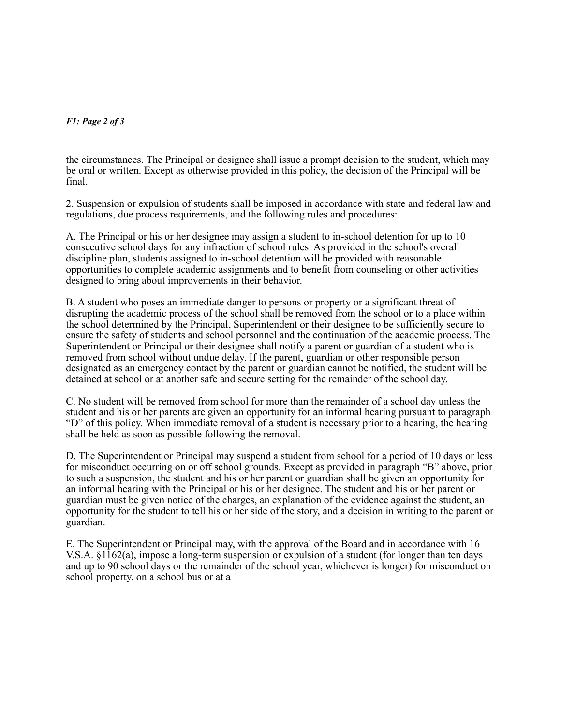# *F1: Page 2 of 3*

the circumstances. The Principal or designee shall issue a prompt decision to the student, which may be oral or written. Except as otherwise provided in this policy, the decision of the Principal will be final.

2. Suspension or expulsion of students shall be imposed in accordance with state and federal law and regulations, due process requirements, and the following rules and procedures:

A. The Principal or his or her designee may assign a student to in-school detention for up to 10 consecutive school days for any infraction of school rules. As provided in the school's overall discipline plan, students assigned to in-school detention will be provided with reasonable opportunities to complete academic assignments and to benefit from counseling or other activities designed to bring about improvements in their behavior.

B. A student who poses an immediate danger to persons or property or a significant threat of disrupting the academic process of the school shall be removed from the school or to a place within the school determined by the Principal, Superintendent or their designee to be sufficiently secure to ensure the safety of students and school personnel and the continuation of the academic process. The Superintendent or Principal or their designee shall notify a parent or guardian of a student who is removed from school without undue delay. If the parent, guardian or other responsible person designated as an emergency contact by the parent or guardian cannot be notified, the student will be detained at school or at another safe and secure setting for the remainder of the school day.

C. No student will be removed from school for more than the remainder of a school day unless the student and his or her parents are given an opportunity for an informal hearing pursuant to paragraph "D" of this policy. When immediate removal of a student is necessary prior to a hearing, the hearing shall be held as soon as possible following the removal.

D. The Superintendent or Principal may suspend a student from school for a period of 10 days or less for misconduct occurring on or off school grounds. Except as provided in paragraph "B" above, prior to such a suspension, the student and his or her parent or guardian shall be given an opportunity for an informal hearing with the Principal or his or her designee. The student and his or her parent or guardian must be given notice of the charges, an explanation of the evidence against the student, an opportunity for the student to tell his or her side of the story, and a decision in writing to the parent or guardian.

E. The Superintendent or Principal may, with the approval of the Board and in accordance with 16 V.S.A. §1162(a), impose a long-term suspension or expulsion of a student (for longer than ten days and up to 90 school days or the remainder of the school year, whichever is longer) for misconduct on school property, on a school bus or at a